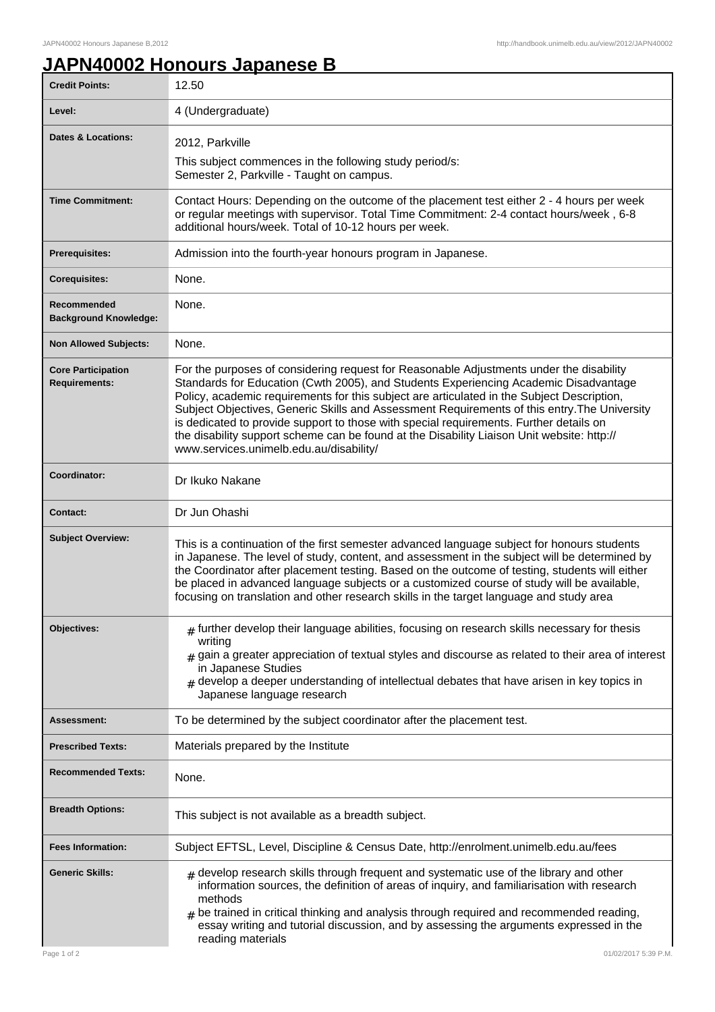ı

## **JAPN40002 Honours Japanese B**

| <b>Credit Points:</b>                             | 12.50                                                                                                                                                                                                                                                                                                                                                                                                                                                                                                                                                                                                            |
|---------------------------------------------------|------------------------------------------------------------------------------------------------------------------------------------------------------------------------------------------------------------------------------------------------------------------------------------------------------------------------------------------------------------------------------------------------------------------------------------------------------------------------------------------------------------------------------------------------------------------------------------------------------------------|
| Level:                                            | 4 (Undergraduate)                                                                                                                                                                                                                                                                                                                                                                                                                                                                                                                                                                                                |
| <b>Dates &amp; Locations:</b>                     | 2012, Parkville                                                                                                                                                                                                                                                                                                                                                                                                                                                                                                                                                                                                  |
|                                                   | This subject commences in the following study period/s:<br>Semester 2, Parkville - Taught on campus.                                                                                                                                                                                                                                                                                                                                                                                                                                                                                                             |
| <b>Time Commitment:</b>                           | Contact Hours: Depending on the outcome of the placement test either 2 - 4 hours per week<br>or regular meetings with supervisor. Total Time Commitment: 2-4 contact hours/week, 6-8<br>additional hours/week. Total of 10-12 hours per week.                                                                                                                                                                                                                                                                                                                                                                    |
| Prerequisites:                                    | Admission into the fourth-year honours program in Japanese.                                                                                                                                                                                                                                                                                                                                                                                                                                                                                                                                                      |
| <b>Corequisites:</b>                              | None.                                                                                                                                                                                                                                                                                                                                                                                                                                                                                                                                                                                                            |
| Recommended<br><b>Background Knowledge:</b>       | None.                                                                                                                                                                                                                                                                                                                                                                                                                                                                                                                                                                                                            |
| <b>Non Allowed Subjects:</b>                      | None.                                                                                                                                                                                                                                                                                                                                                                                                                                                                                                                                                                                                            |
| <b>Core Participation</b><br><b>Requirements:</b> | For the purposes of considering request for Reasonable Adjustments under the disability<br>Standards for Education (Cwth 2005), and Students Experiencing Academic Disadvantage<br>Policy, academic requirements for this subject are articulated in the Subject Description,<br>Subject Objectives, Generic Skills and Assessment Requirements of this entry. The University<br>is dedicated to provide support to those with special requirements. Further details on<br>the disability support scheme can be found at the Disability Liaison Unit website: http://<br>www.services.unimelb.edu.au/disability/ |
| Coordinator:                                      | Dr Ikuko Nakane                                                                                                                                                                                                                                                                                                                                                                                                                                                                                                                                                                                                  |
| <b>Contact:</b>                                   | Dr Jun Ohashi                                                                                                                                                                                                                                                                                                                                                                                                                                                                                                                                                                                                    |
| <b>Subject Overview:</b>                          | This is a continuation of the first semester advanced language subject for honours students<br>in Japanese. The level of study, content, and assessment in the subject will be determined by<br>the Coordinator after placement testing. Based on the outcome of testing, students will either<br>be placed in advanced language subjects or a customized course of study will be available,<br>focusing on translation and other research skills in the target language and study area                                                                                                                          |
| Objectives:                                       | $#$ further develop their language abilities, focusing on research skills necessary for thesis<br>writing<br>$_{\text{\#}}$ gain a greater appreciation of textual styles and discourse as related to their area of interest<br>in Japanese Studies<br>develop a deeper understanding of intellectual debates that have arisen in key topics in<br>Japanese language research                                                                                                                                                                                                                                    |
| <b>Assessment:</b>                                | To be determined by the subject coordinator after the placement test.                                                                                                                                                                                                                                                                                                                                                                                                                                                                                                                                            |
| <b>Prescribed Texts:</b>                          | Materials prepared by the Institute                                                                                                                                                                                                                                                                                                                                                                                                                                                                                                                                                                              |
| <b>Recommended Texts:</b>                         | None.                                                                                                                                                                                                                                                                                                                                                                                                                                                                                                                                                                                                            |
| <b>Breadth Options:</b>                           | This subject is not available as a breadth subject.                                                                                                                                                                                                                                                                                                                                                                                                                                                                                                                                                              |
| <b>Fees Information:</b>                          | Subject EFTSL, Level, Discipline & Census Date, http://enrolment.unimelb.edu.au/fees                                                                                                                                                                                                                                                                                                                                                                                                                                                                                                                             |
| <b>Generic Skills:</b>                            | $#$ develop research skills through frequent and systematic use of the library and other<br>information sources, the definition of areas of inquiry, and familiarisation with research<br>methods<br>be trained in critical thinking and analysis through required and recommended reading,<br>essay writing and tutorial discussion, and by assessing the arguments expressed in the<br>reading materials                                                                                                                                                                                                       |